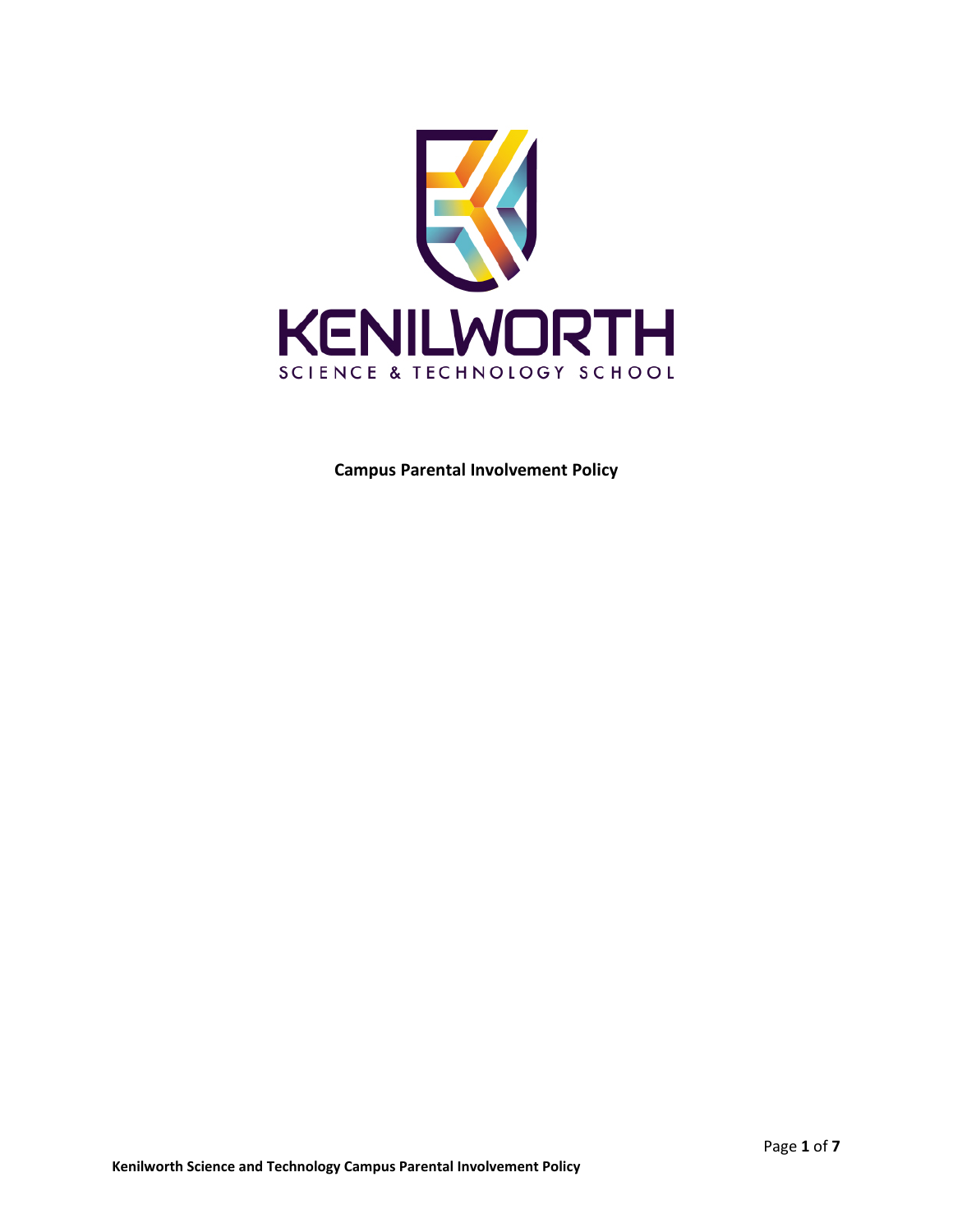

**Campus Parental Involvement Policy**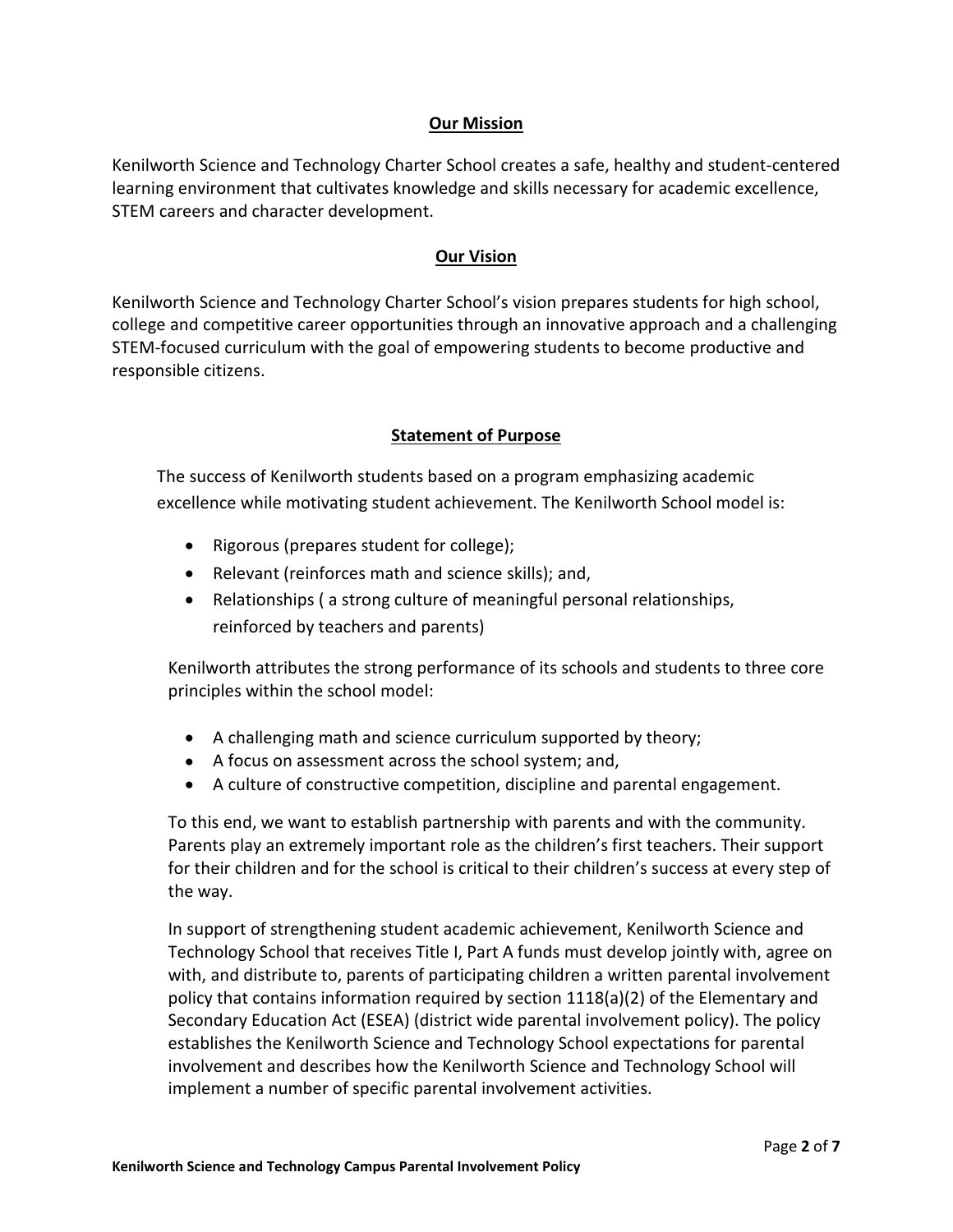#### **Our Mission**

Kenilworth Science and Technology Charter School creates a safe, healthy and student-centered learning environment that cultivates knowledge and skills necessary for academic excellence, STEM careers and character development.

### **Our Vision**

Kenilworth Science and Technology Charter School's vision prepares students for high school, college and competitive career opportunities through an innovative approach and a challenging STEM-focused curriculum with the goal of empowering students to become productive and responsible citizens.

## **Statement of Purpose**

The success of Kenilworth students based on a program emphasizing academic excellence while motivating student achievement. The Kenilworth School model is:

- Rigorous (prepares student for college);
- Relevant (reinforces math and science skills); and,
- Relationships ( a strong culture of meaningful personal relationships, reinforced by teachers and parents)

Kenilworth attributes the strong performance of its schools and students to three core principles within the school model:

- A challenging math and science curriculum supported by theory;
- A focus on assessment across the school system; and,
- A culture of constructive competition, discipline and parental engagement.

To this end, we want to establish partnership with parents and with the community. Parents play an extremely important role as the children's first teachers. Their support for their children and for the school is critical to their children's success at every step of the way.

In support of strengthening student academic achievement, Kenilworth Science and Technology School that receives Title I, Part A funds must develop jointly with, agree on with, and distribute to, parents of participating children a written parental involvement policy that contains information required by section 1118(a)(2) of the Elementary and Secondary Education Act (ESEA) (district wide parental involvement policy). The policy establishes the Kenilworth Science and Technology School expectations for parental involvement and describes how the Kenilworth Science and Technology School will implement a number of specific parental involvement activities.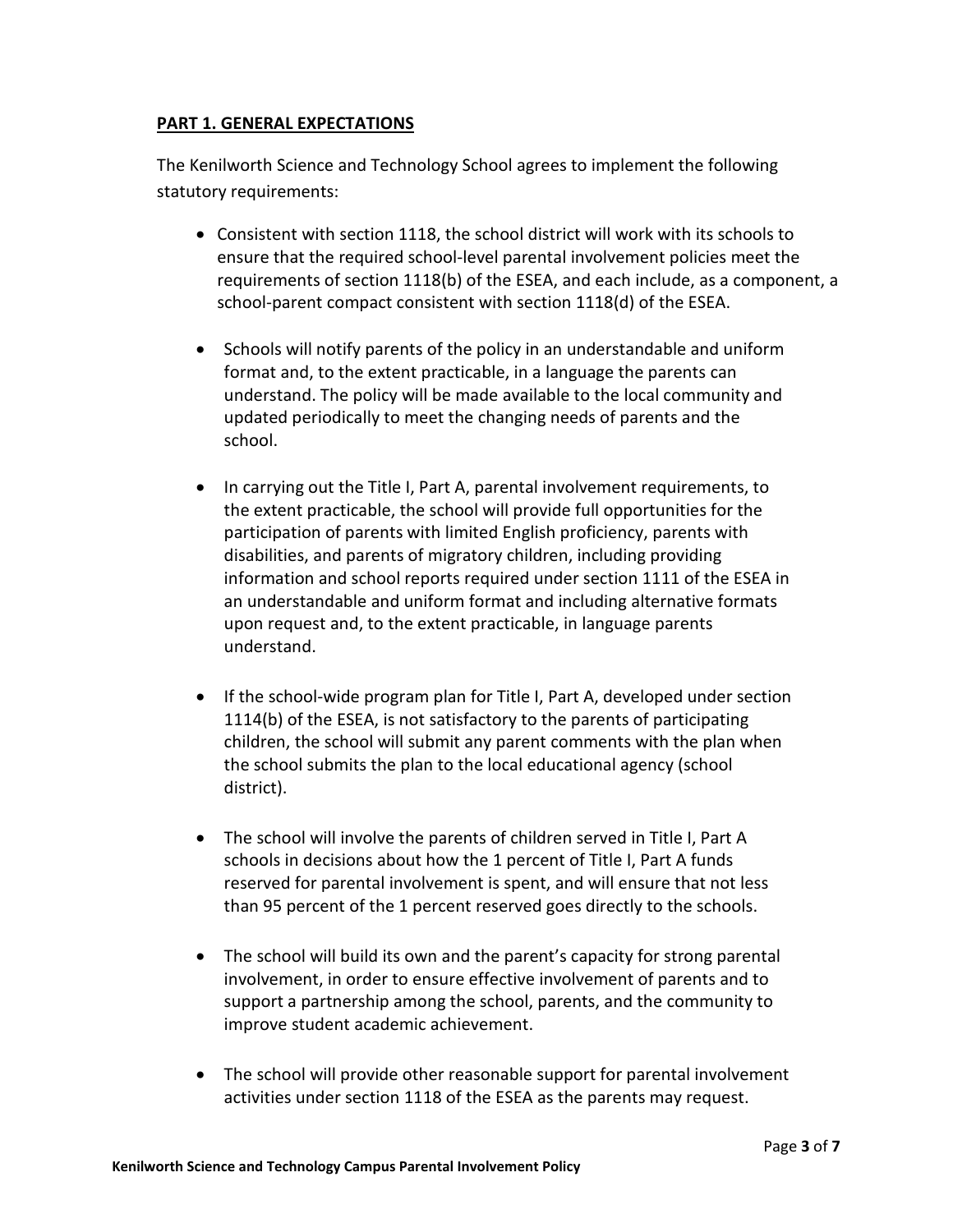#### **PART 1. GENERAL EXPECTATIONS**

The Kenilworth Science and Technology School agrees to implement the following statutory requirements:

- Consistent with section 1118, the school district will work with its schools to ensure that the required school-level parental involvement policies meet the requirements of section 1118(b) of the ESEA, and each include, as a component, a school-parent compact consistent with section 1118(d) of the ESEA.
- Schools will notify parents of the policy in an understandable and uniform format and, to the extent practicable, in a language the parents can understand. The policy will be made available to the local community and updated periodically to meet the changing needs of parents and the school.
- In carrying out the Title I, Part A, parental involvement requirements, to the extent practicable, the school will provide full opportunities for the participation of parents with limited English proficiency, parents with disabilities, and parents of migratory children, including providing information and school reports required under section 1111 of the ESEA in an understandable and uniform format and including alternative formats upon request and, to the extent practicable, in language parents understand.
- If the school-wide program plan for Title I, Part A, developed under section 1114(b) of the ESEA, is not satisfactory to the parents of participating children, the school will submit any parent comments with the plan when the school submits the plan to the local educational agency (school district).
- The school will involve the parents of children served in Title I, Part A schools in decisions about how the 1 percent of Title I, Part A funds reserved for parental involvement is spent, and will ensure that not less than 95 percent of the 1 percent reserved goes directly to the schools.
- The school will build its own and the parent's capacity for strong parental involvement, in order to ensure effective involvement of parents and to support a partnership among the school, parents, and the community to improve student academic achievement.
- The school will provide other reasonable support for parental involvement activities under section 1118 of the ESEA as the parents may request.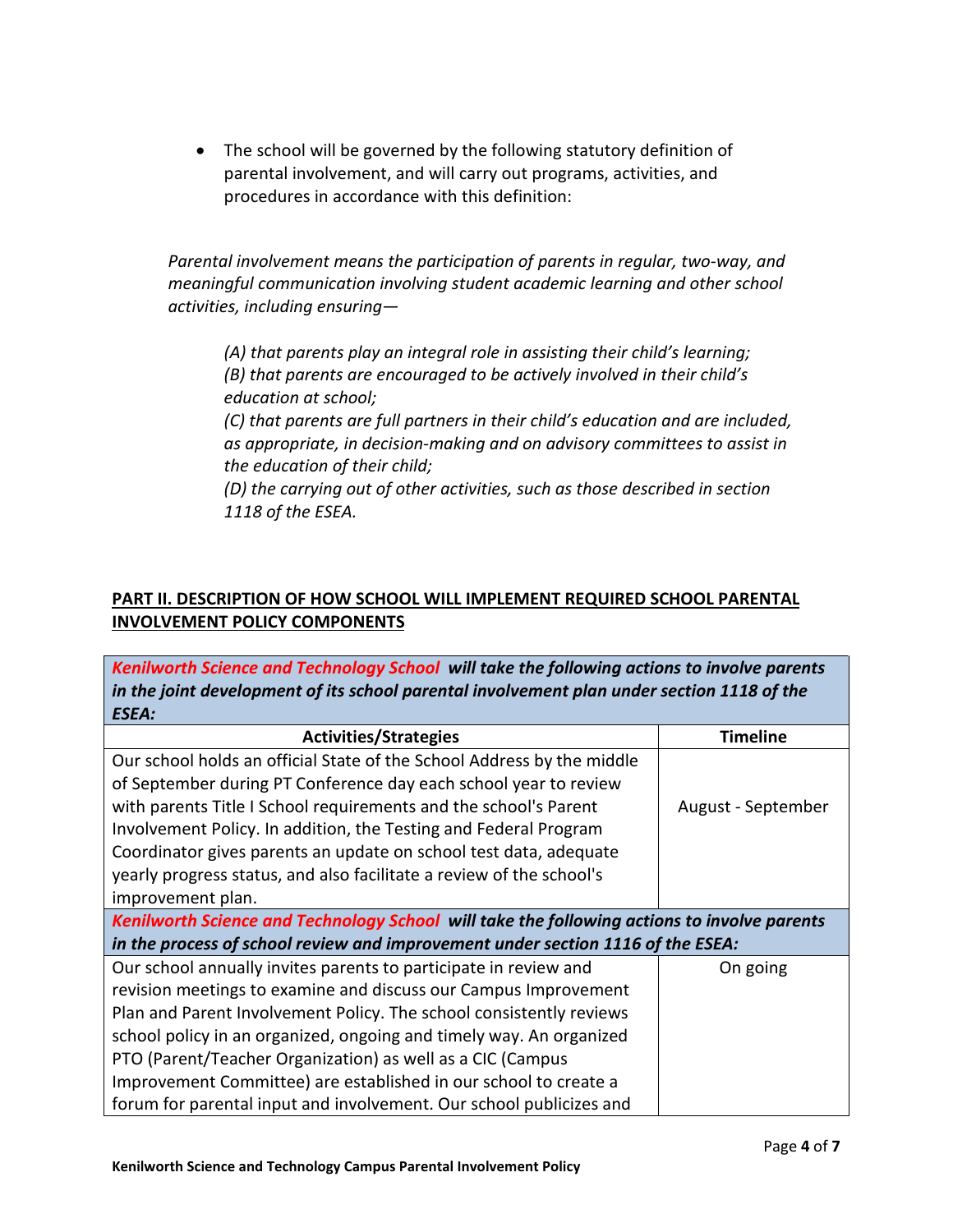• The school will be governed by the following statutory definition of parental involvement, and will carry out programs, activities, and procedures in accordance with this definition:

*Parental involvement means the participation of parents in regular, two-way, and meaningful communication involving student academic learning and other school activities, including ensuring—*

*(A) that parents play an integral role in assisting their child's learning; (B) that parents are encouraged to be actively involved in their child's education at school;*

*(C) that parents are full partners in their child's education and are included, as appropriate, in decision-making and on advisory committees to assist in the education of their child;*

*(D) the carrying out of other activities, such as those described in section 1118 of the ESEA.*

## **PART II. DESCRIPTION OF HOW SCHOOL WILL IMPLEMENT REQUIRED SCHOOL PARENTAL INVOLVEMENT POLICY COMPONENTS**

*Kenilworth Science and Technology School will take the following actions to involve parents in the joint development of its school parental involvement plan under section 1118 of the ESEA:*

| <b>Activities/Strategies</b>                                                                | <b>Timeline</b>    |  |
|---------------------------------------------------------------------------------------------|--------------------|--|
| Our school holds an official State of the School Address by the middle                      |                    |  |
| of September during PT Conference day each school year to review                            |                    |  |
| with parents Title I School requirements and the school's Parent                            | August - September |  |
| Involvement Policy. In addition, the Testing and Federal Program                            |                    |  |
| Coordinator gives parents an update on school test data, adequate                           |                    |  |
| yearly progress status, and also facilitate a review of the school's                        |                    |  |
| improvement plan.                                                                           |                    |  |
| Kenilworth Science and Technology School will take the following actions to involve parents |                    |  |
| in the process of school review and improvement under section 1116 of the ESEA:             |                    |  |
| Our school annually invites parents to participate in review and                            | On going           |  |
| revision meetings to examine and discuss our Campus Improvement                             |                    |  |
| Plan and Parent Involvement Policy. The school consistently reviews                         |                    |  |
| school policy in an organized, ongoing and timely way. An organized                         |                    |  |
| PTO (Parent/Teacher Organization) as well as a CIC (Campus                                  |                    |  |
| Improvement Committee) are established in our school to create a                            |                    |  |
| forum for parental input and involvement. Our school publicizes and                         |                    |  |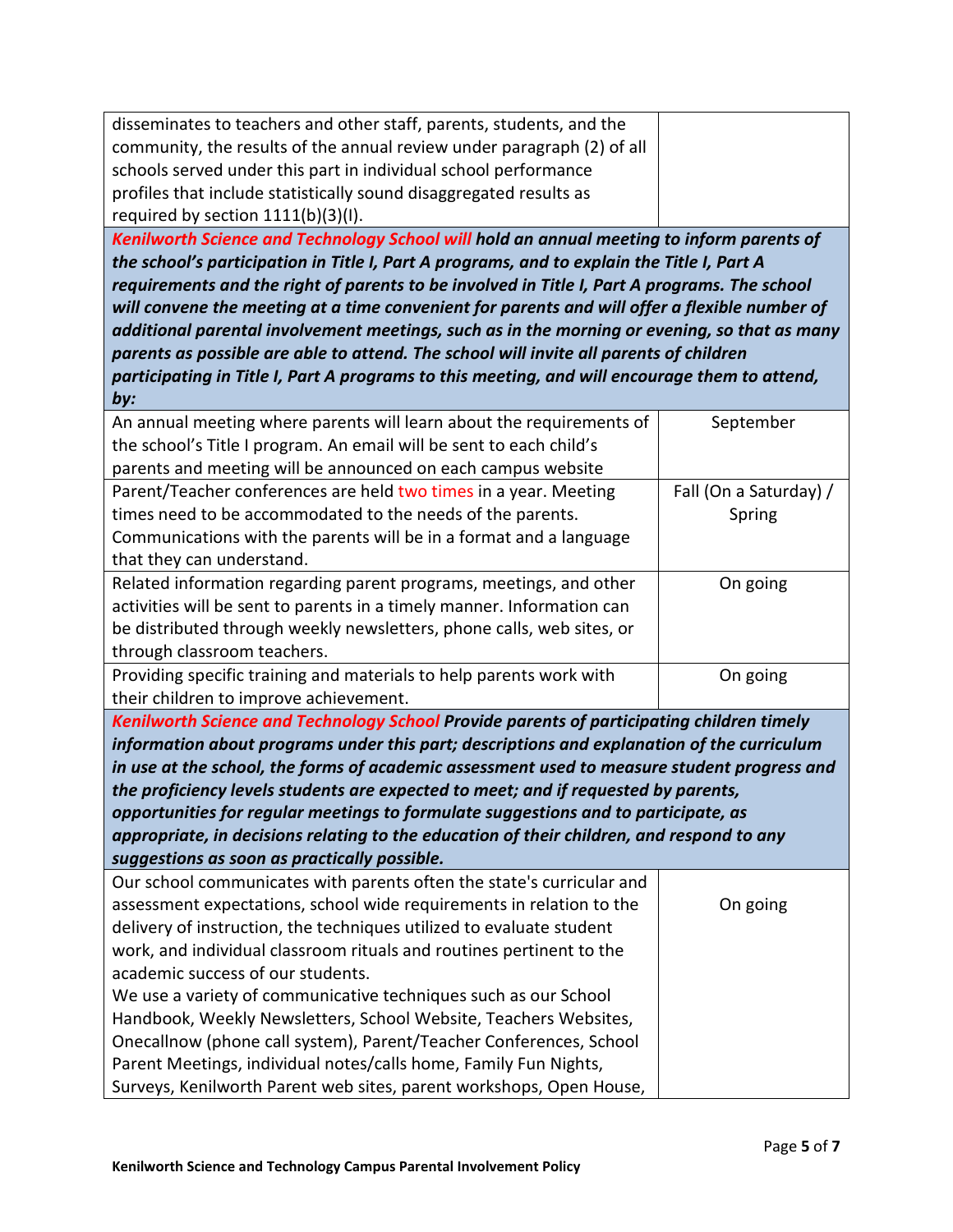| disseminates to teachers and other staff, parents, students, and the                          |                        |  |  |
|-----------------------------------------------------------------------------------------------|------------------------|--|--|
| community, the results of the annual review under paragraph (2) of all                        |                        |  |  |
| schools served under this part in individual school performance                               |                        |  |  |
| profiles that include statistically sound disaggregated results as                            |                        |  |  |
| required by section 1111(b)(3)(I).                                                            |                        |  |  |
| Kenilworth Science and Technology School will hold an annual meeting to inform parents of     |                        |  |  |
| the school's participation in Title I, Part A programs, and to explain the Title I, Part A    |                        |  |  |
| requirements and the right of parents to be involved in Title I, Part A programs. The school  |                        |  |  |
| will convene the meeting at a time convenient for parents and will offer a flexible number of |                        |  |  |
| additional parental involvement meetings, such as in the morning or evening, so that as many  |                        |  |  |
| parents as possible are able to attend. The school will invite all parents of children        |                        |  |  |
| participating in Title I, Part A programs to this meeting, and will encourage them to attend, |                        |  |  |
| by:                                                                                           |                        |  |  |
| An annual meeting where parents will learn about the requirements of                          | September              |  |  |
| the school's Title I program. An email will be sent to each child's                           |                        |  |  |
| parents and meeting will be announced on each campus website                                  |                        |  |  |
| Parent/Teacher conferences are held two times in a year. Meeting                              | Fall (On a Saturday) / |  |  |
| times need to be accommodated to the needs of the parents.                                    | Spring                 |  |  |
| Communications with the parents will be in a format and a language                            |                        |  |  |
| that they can understand.                                                                     |                        |  |  |
| Related information regarding parent programs, meetings, and other                            | On going               |  |  |
| activities will be sent to parents in a timely manner. Information can                        |                        |  |  |
| be distributed through weekly newsletters, phone calls, web sites, or                         |                        |  |  |
| through classroom teachers.                                                                   |                        |  |  |
| Providing specific training and materials to help parents work with                           | On going               |  |  |
| their children to improve achievement.                                                        |                        |  |  |
| Kenilworth Science and Technology School Provide parents of participating children timely     |                        |  |  |
| information about programs under this part; descriptions and explanation of the curriculum    |                        |  |  |
| in use at the school, the forms of academic assessment used to measure student progress and   |                        |  |  |
| the proficiency levels students are expected to meet; and if requested by parents,            |                        |  |  |
| opportunities for regular meetings to formulate suggestions and to participate, as            |                        |  |  |
| appropriate, in decisions relating to the education of their children, and respond to any     |                        |  |  |
| suggestions as soon as practically possible.                                                  |                        |  |  |
| Our school communicates with parents often the state's curricular and                         |                        |  |  |
| assessment expectations, school wide requirements in relation to the                          | On going               |  |  |
| delivery of instruction, the techniques utilized to evaluate student                          |                        |  |  |
| work, and individual classroom rituals and routines pertinent to the                          |                        |  |  |
| academic success of our students.                                                             |                        |  |  |
| We use a variety of communicative techniques such as our School                               |                        |  |  |
| Handbook, Weekly Newsletters, School Website, Teachers Websites,                              |                        |  |  |
| Onecallnow (phone call system), Parent/Teacher Conferences, School                            |                        |  |  |
| Parent Meetings, individual notes/calls home, Family Fun Nights,                              |                        |  |  |
| Surveys, Kenilworth Parent web sites, parent workshops, Open House,                           |                        |  |  |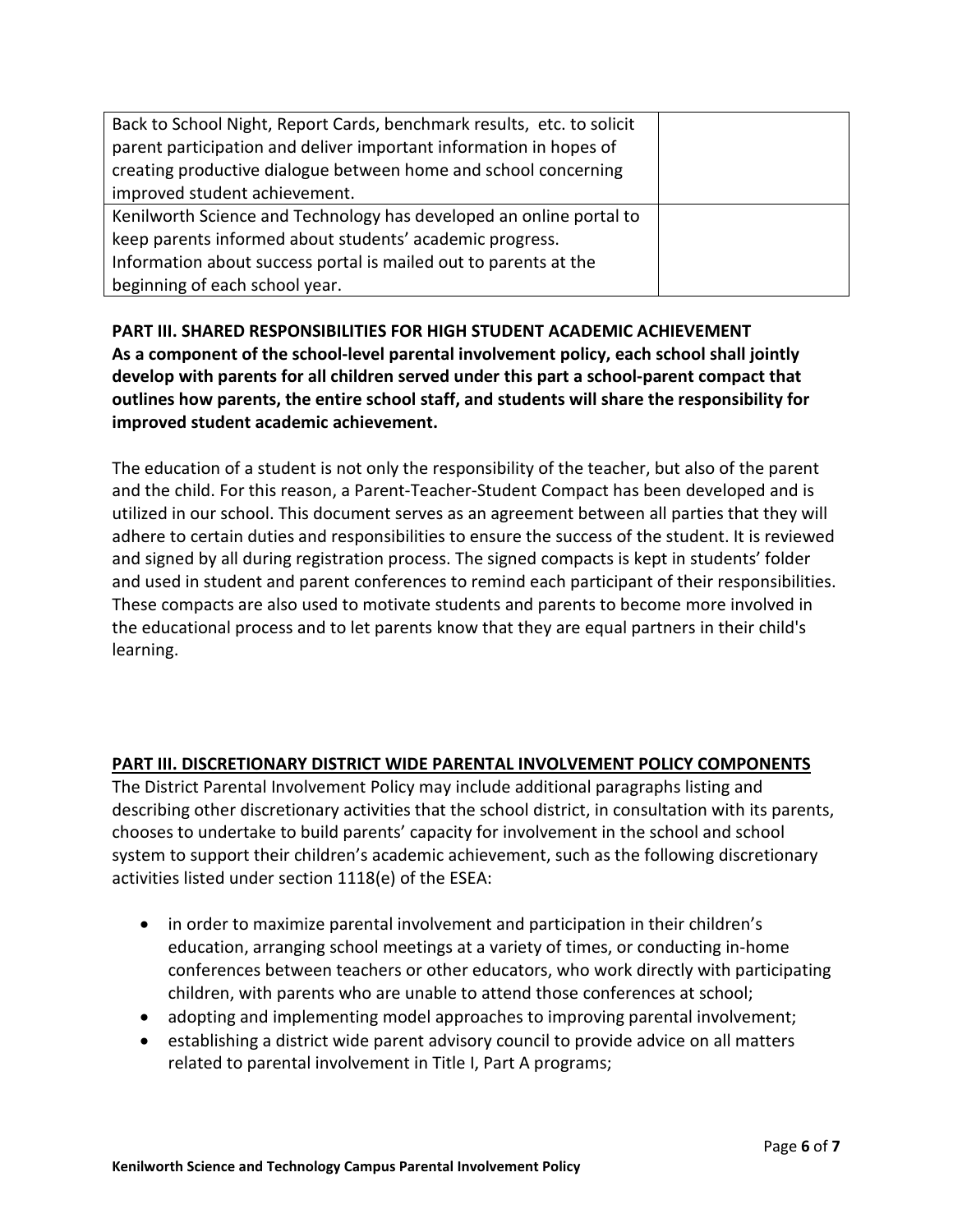| Back to School Night, Report Cards, benchmark results, etc. to solicit |  |
|------------------------------------------------------------------------|--|
| parent participation and deliver important information in hopes of     |  |
| creating productive dialogue between home and school concerning        |  |
| improved student achievement.                                          |  |
| Kenilworth Science and Technology has developed an online portal to    |  |
| keep parents informed about students' academic progress.               |  |
| Information about success portal is mailed out to parents at the       |  |
| beginning of each school year.                                         |  |

**PART III. SHARED RESPONSIBILITIES FOR HIGH STUDENT ACADEMIC ACHIEVEMENT As a component of the school-level parental involvement policy, each school shall jointly develop with parents for all children served under this part a school-parent compact that outlines how parents, the entire school staff, and students will share the responsibility for improved student academic achievement.**

The education of a student is not only the responsibility of the teacher, but also of the parent and the child. For this reason, a Parent-Teacher-Student Compact has been developed and is utilized in our school. This document serves as an agreement between all parties that they will adhere to certain duties and responsibilities to ensure the success of the student. It is reviewed and signed by all during registration process. The signed compacts is kept in students' folder and used in student and parent conferences to remind each participant of their responsibilities. These compacts are also used to motivate students and parents to become more involved in the educational process and to let parents know that they are equal partners in their child's learning.

# **PART III. DISCRETIONARY DISTRICT WIDE PARENTAL INVOLVEMENT POLICY COMPONENTS**

The District Parental Involvement Policy may include additional paragraphs listing and describing other discretionary activities that the school district, in consultation with its parents, chooses to undertake to build parents' capacity for involvement in the school and school system to support their children's academic achievement, such as the following discretionary activities listed under section 1118(e) of the ESEA:

- in order to maximize parental involvement and participation in their children's education, arranging school meetings at a variety of times, or conducting in-home conferences between teachers or other educators, who work directly with participating children, with parents who are unable to attend those conferences at school;
- adopting and implementing model approaches to improving parental involvement;
- establishing a district wide parent advisory council to provide advice on all matters related to parental involvement in Title I, Part A programs;